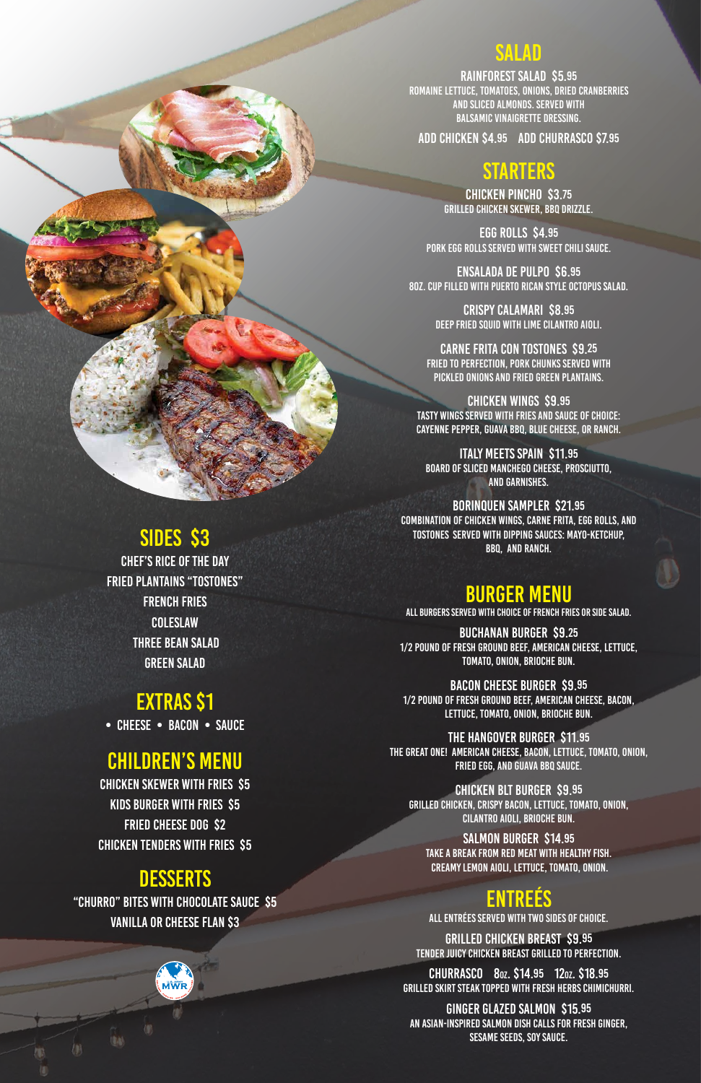## SALAD

RAINFOREST Salad \$5.95 Romaine lettuce, tomatoes, onions, dried cranberries AND sliced almonds. Served with BALsamic vinaigrette dressing.

Add chicken \$4.95 Add churrasco \$7.95

## STARTERS

Chicken Pincho \$3.75 Grilled chicken skewer, BBQ drizzle.

Egg Rolls \$4.95 Pork egg rolls served with sweet chili sauce.

ENSALADA DE PULPO \$6.95 8oz. CUP FILLED WITH PUERTO RICAN STYLE OCTOPUS SALAD.

> Crispy Calamari \$8.95 Deep Fried Squid with Lime Cilantro Aioli.

Carne Frita con TostoneS \$9.25 Fried to perfection, pork chunks served with PICKLED ONIONS AND fried green plantains.

Chicken WinGs \$9.95 TASTY WINGS served with fries and sauce of choice: CAYENNE PEPPER, GUAVA BBQ, BLUE CHEESE, or Ranch.

Italy meets Spain \$11.95 BOARD OF Sliced Manchego cheese, Prosciutto, and GARNISHES.

Borinquen Sampler \$21.95 COMBINATION OF Chicken wings, carne frita, egg rolls, and tostones served with dipping sauces: mayo-ketchup, BBQ, and Ranch.

## BURGER MENU

**ENTREES** ALL ENTRéEs served WITH TWO SIDES OF CHOICE. GRILLED CHICKEN BREAST \$9.95 TENDER JUICY CHICKEN BREAST GRILLED TO PERFECTION. Churrasco 8oz. \$14.95 12oz. \$18.95 Grilled skirt steak topped with fresh herbs chimichurri. GINGER GLAZED SALMON \$15.95 AN ASIAN-INSPIRED SALMON DISH CALLS FOR FRESH GINGER,

ALL BURGERS SERVED WITH CHOICE OF FRENCH FRIES OR SIDE SALAD.

BUCHANAN Burger \$9.25 1/2 pound of fresh ground beef, American cheese, lettuce, tomato, onion, Brioche bun.

BACON CHEESE Burger \$9.95 1/2 PoUND OF FRESH GROUND BEEF, AMERICAN CHEESE, BACON, LETTUCE, TOMATO, ONION, BRIOCHE BUN.

THE HANGOVER Burger \$11.95 THE GREAT ONE! AMERICAN CHEESE, bacon, lettuce, tomato, ONION, FRIED EGG, AND GUAVA BBQ SAUCE.

Chicken BLT Burger \$9.95

## SIDES \$3



SALMON BURGER \$14.95 TAKE A BREAK FROM RED MEAT WITH HEAlthy FISH. CREAMY LEMON AIOLI, LETTUCE, TOMATO, ONION.

SESAME SEEDS, SOY SAUCE.

Chef's rice of the day Fried Plantains "tostones" French Fries **COLESLAW**  Three Bean Salad Green Salad

# EXTRAS \$1

• CHEESE • BACON • SAUCE

## CHILDREN'S MENU

Chicken Skewer with Fries \$5

Kids Burger with Fries \$5 FRIED CHEESE DOG \$2 Chicken Tenders with Fries \$5

## **DESSERTS**

#### "Churro" Bites with Chocolate Sauce \$5 Vanilla or Cheese Flan \$3

**MWR** 

(BA)

7D)